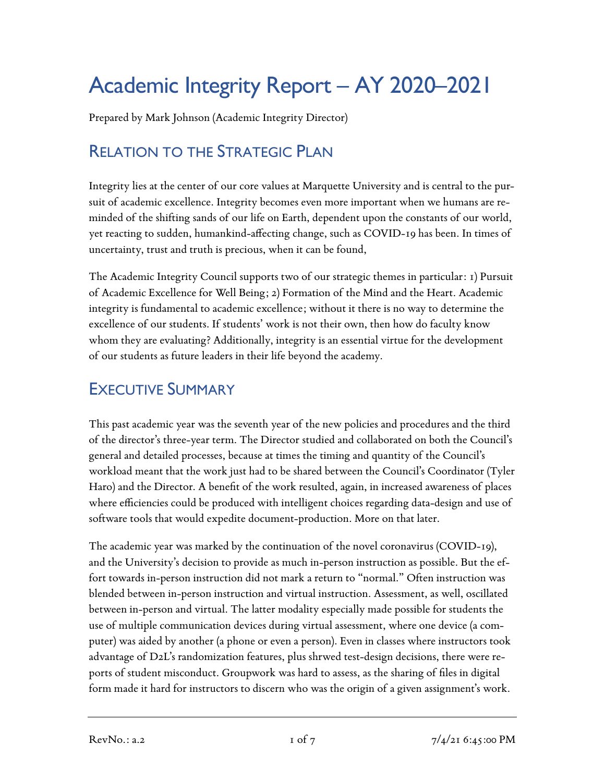# Academic Integrity Report – AY 2020–2021

Prepared by Mark Johnson (Academic Integrity Director)

# RELATION TO THE STRATEGIC PLAN

Integrity lies at the center of our core values at Marquette University and is central to the pursuit of academic excellence. Integrity becomes even more important when we humans are reminded of the shifting sands of our life on Earth, dependent upon the constants of our world, yet reacting to sudden, humankind-affecting change, such as COVID-19 has been. In times of uncertainty, trust and truth is precious, when it can be found,

The Academic Integrity Council supports two of our strategic themes in particular: 1) Pursuit of Academic Excellence for Well Being; 2) Formation of the Mind and the Heart. Academic integrity is fundamental to academic excellence; without it there is no way to determine the excellence of our students. If students' work is not their own, then how do faculty know whom they are evaluating? Additionally, integrity is an essential virtue for the development of our students as future leaders in their life beyond the academy.

## EXECUTIVE SUMMARY

This past academic year was the seventh year of the new policies and procedures and the third of the director's three-year term. The Director studied and collaborated on both the Council's general and detailed processes, because at times the timing and quantity of the Council's workload meant that the work just had to be shared between the Council's Coordinator (Tyler Haro) and the Director. A benefit of the work resulted, again, in increased awareness of places where efficiencies could be produced with intelligent choices regarding data-design and use of software tools that would expedite document-production. More on that later.

The academic year was marked by the continuation of the novel coronavirus (COVID-19), and the University's decision to provide as much in-person instruction as possible. But the effort towards in-person instruction did not mark a return to "normal." Often instruction was blended between in-person instruction and virtual instruction. Assessment, as well, oscillated between in-person and virtual. The latter modality especially made possible for students the use of multiple communication devices during virtual assessment, where one device (a computer) was aided by another (a phone or even a person). Even in classes where instructors took advantage of D2L's randomization features, plus shrwed test-design decisions, there were reports of student misconduct. Groupwork was hard to assess, as the sharing of files in digital form made it hard for instructors to discern who was the origin of a given assignment's work.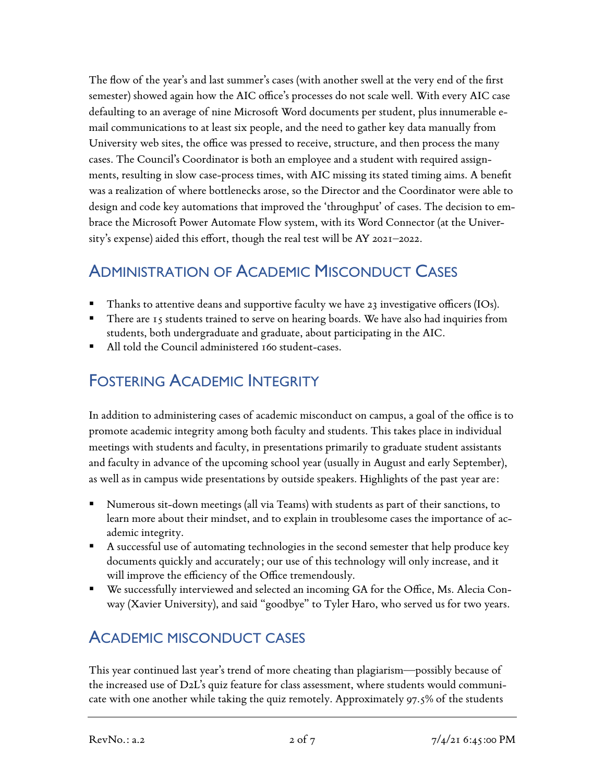The flow of the year's and last summer's cases (with another swell at the very end of the first semester) showed again how the AIC office's processes do not scale well. With every AIC case defaulting to an average of nine Microsoft Word documents per student, plus innumerable email communications to at least six people, and the need to gather key data manually from University web sites, the office was pressed to receive, structure, and then process the many cases. The Council's Coordinator is both an employee and a student with required assignments, resulting in slow case-process times, with AIC missing its stated timing aims. A benefit was a realization of where bottlenecks arose, so the Director and the Coordinator were able to design and code key automations that improved the 'throughput' of cases. The decision to embrace the Microsoft Power Automate Flow system, with its Word Connector (at the University's expense) aided this effort, though the real test will be AY 2021–2022.

## ADMINISTRATION OF ACADEMIC MISCONDUCT CASES

- Thanks to attentive deans and supportive faculty we have 23 investigative officers (IOs).
- There are 15 students trained to serve on hearing boards. We have also had inquiries from students, both undergraduate and graduate, about participating in the AIC.
- All told the Council administered 160 student-cases.

## FOSTERING ACADEMIC INTEGRITY

In addition to administering cases of academic misconduct on campus, a goal of the office is to promote academic integrity among both faculty and students. This takes place in individual meetings with students and faculty, in presentations primarily to graduate student assistants and faculty in advance of the upcoming school year (usually in August and early September), as well as in campus wide presentations by outside speakers. Highlights of the past year are:

- Numerous sit-down meetings (all via Teams) with students as part of their sanctions, to learn more about their mindset, and to explain in troublesome cases the importance of academic integrity.
- A successful use of automating technologies in the second semester that help produce key documents quickly and accurately; our use of this technology will only increase, and it will improve the efficiency of the Office tremendously.
- We successfully interviewed and selected an incoming GA for the Office, Ms. Alecia Conway (Xavier University), and said "goodbye" to Tyler Haro, who served us for two years.

## ACADEMIC MISCONDUCT CASES

This year continued last year's trend of more cheating than plagiarism—possibly because of the increased use of D2L's quiz feature for class assessment, where students would communicate with one another while taking the quiz remotely. Approximately 97.5% of the students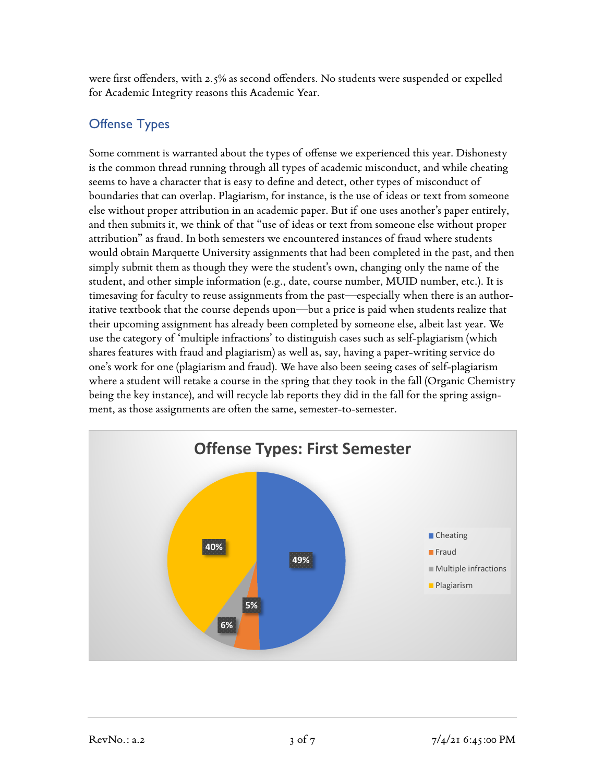were first offenders, with 2.5% as second offenders. No students were suspended or expelled for Academic Integrity reasons this Academic Year.

#### Offense Types

Some comment is warranted about the types of offense we experienced this year. Dishonesty is the common thread running through all types of academic misconduct, and while cheating seems to have a character that is easy to define and detect, other types of misconduct of boundaries that can overlap. Plagiarism, for instance, is the use of ideas or text from someone else without proper attribution in an academic paper. But if one uses another's paper entirely, and then submits it, we think of that "use of ideas or text from someone else without proper attribution" as fraud. In both semesters we encountered instances of fraud where students would obtain Marquette University assignments that had been completed in the past, and then simply submit them as though they were the student's own, changing only the name of the student, and other simple information (e.g., date, course number, MUID number, etc.). It is timesaving for faculty to reuse assignments from the past—especially when there is an authoritative textbook that the course depends upon—but a price is paid when students realize that their upcoming assignment has already been completed by someone else, albeit last year. We use the category of 'multiple infractions' to distinguish cases such as self-plagiarism (which shares features with fraud and plagiarism) as well as, say, having a paper-writing service do one's work for one (plagiarism and fraud). We have also been seeing cases of self-plagiarism where a student will retake a course in the spring that they took in the fall (Organic Chemistry being the key instance), and will recycle lab reports they did in the fall for the spring assignment, as those assignments are often the same, semester-to-semester.

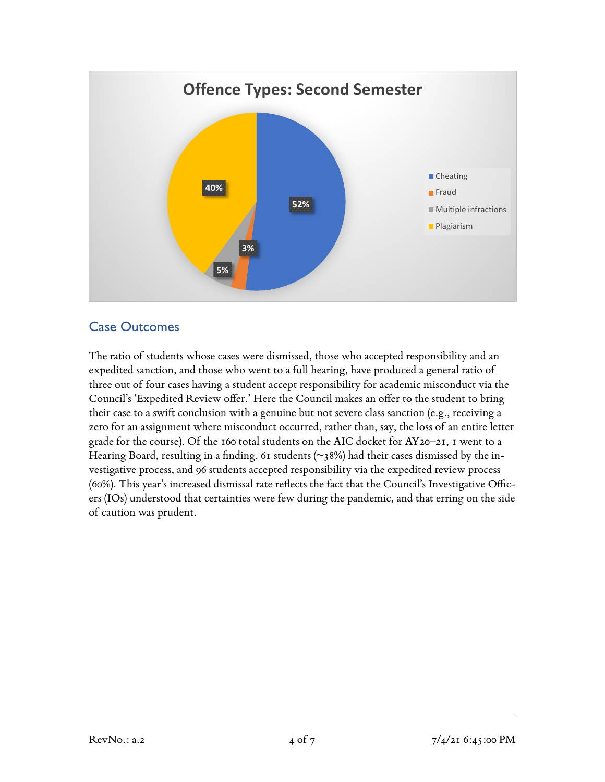

#### Case Outcomes

The ratio of students whose cases were dismissed, those who accepted responsibility and an expedited sanction, and those who went to a full hearing, have produced a general ratio of three out of four cases having a student accept responsibility for academic misconduct via the Council's 'Expedited Review offer.' Here the Council makes an offer to the student to bring their case to a swift conclusion with a genuine but not severe class sanction (e.g., receiving a zero for an assignment where misconduct occurred, rather than, say, the loss of an entire letter grade for the course). Of the 160 total students on the AIC docket for AY20–21, 1 went to a Hearing Board, resulting in a finding. 61 students (~38%) had their cases dismissed by the investigative process, and 96 students accepted responsibility via the expedited review process (60%). This year's increased dismissal rate reflects the fact that the Council's Investigative Officers (IOs) understood that certainties were few during the pandemic, and that erring on the side of caution was prudent.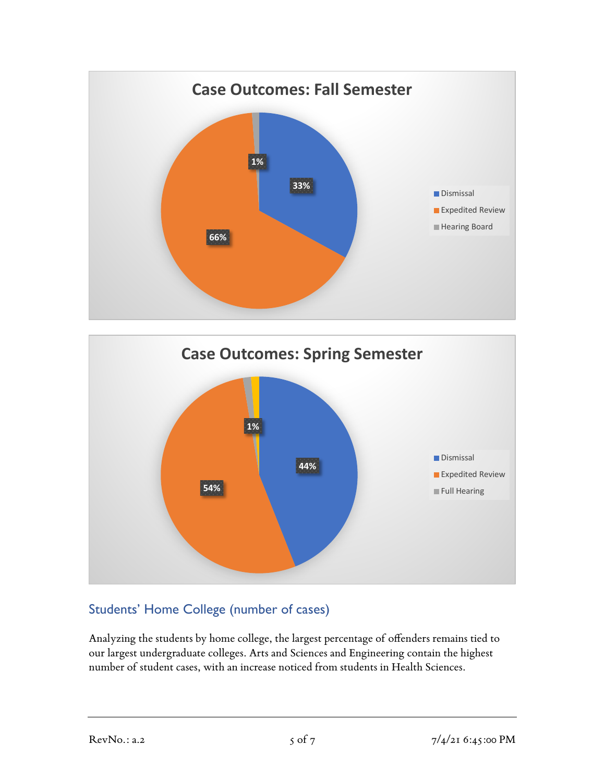



#### Students' Home College (number of cases)

Analyzing the students by home college, the largest percentage of offenders remains tied to our largest undergraduate colleges. Arts and Sciences and Engineering contain the highest number of student cases, with an increase noticed from students in Health Sciences.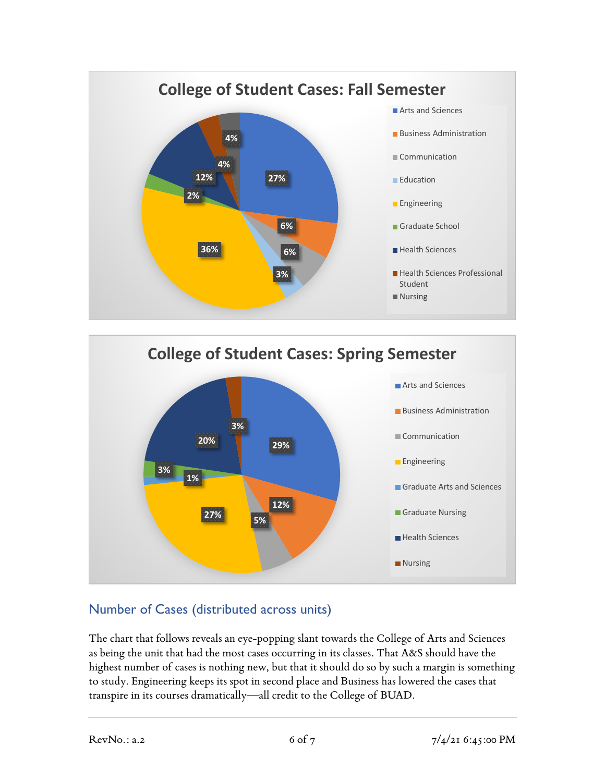



#### Number of Cases (distributed across units)

The chart that follows reveals an eye-popping slant towards the College of Arts and Sciences as being the unit that had the most cases occurring in its classes. That A&S should have the highest number of cases is nothing new, but that it should do so by such a margin is something to study. Engineering keeps its spot in second place and Business has lowered the cases that transpire in its courses dramatically—all credit to the College of BUAD.